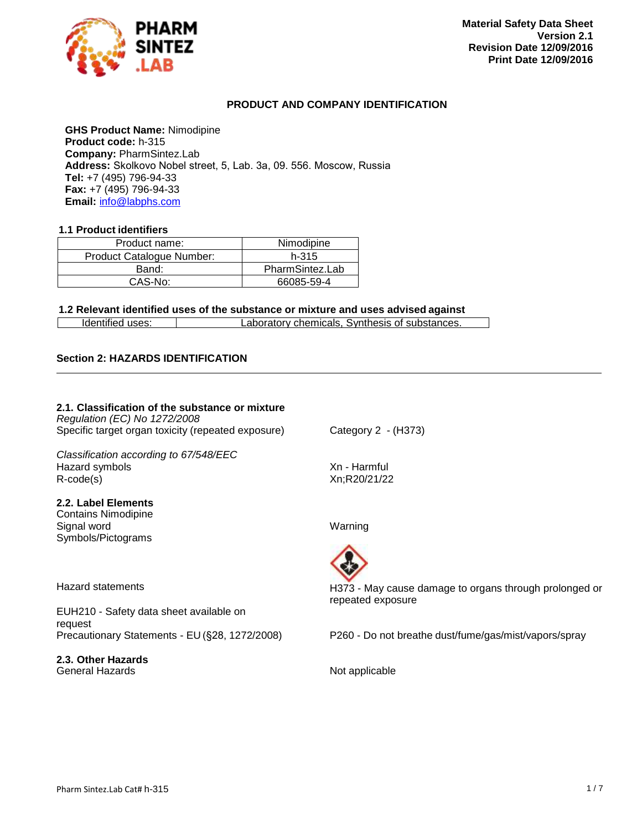

# **PRODUCT AND COMPANY IDENTIFICATION**

**GHS Product Name:** Nimodipine **Product code:** h-315 **Company:** PharmSintez.Lab **Address:** Skolkovo Nobel street, 5, Lab. 3а, 09. 556. Moscow, Russia **Tel:** +7 (495) 796-94-33 **Fax:** +7 (495) 796-94-33 **Email:** [info@labphs.com](mailto:info@labphs.com)

#### **1.1 Product identifiers**

| Product name:             | Nimodipine      |
|---------------------------|-----------------|
| Product Catalogue Number: | h-315           |
| Band:                     | PharmSintez.Lab |
| $CAS-No$ :                | 66085-59-4      |

#### **1.2 Relevant identified uses of the substance or mixture and uses advised against**

|--|

#### **Section 2: HAZARDS IDENTIFICATION**

#### **2.1. Classification of the substance or mixture** *Regulation (EC) No 1272/2008* Specific target organ toxicity (repeated exposure) Category 2 - (H373)

*Classification according to 67/548/EEC* Hazard symbols **Example 2** and the Maximum Xn - Harmful R-code(s) Xn;R20/21/22

#### **2.2. Label Elements**

Contains Nimodipine Signal word Warning Symbols/Pictograms

Hazard statements

EUH210 - Safety data sheet available on request<br>Precautionary Statements - EU (§28, 1272/2008)

**2.3. Other Hazards** General Hazards **Not applicable** 



H373 - May cause damage to organs through prolonged or repeated exposure

P260 - Do not breathe dust/fume/gas/mist/vapors/spray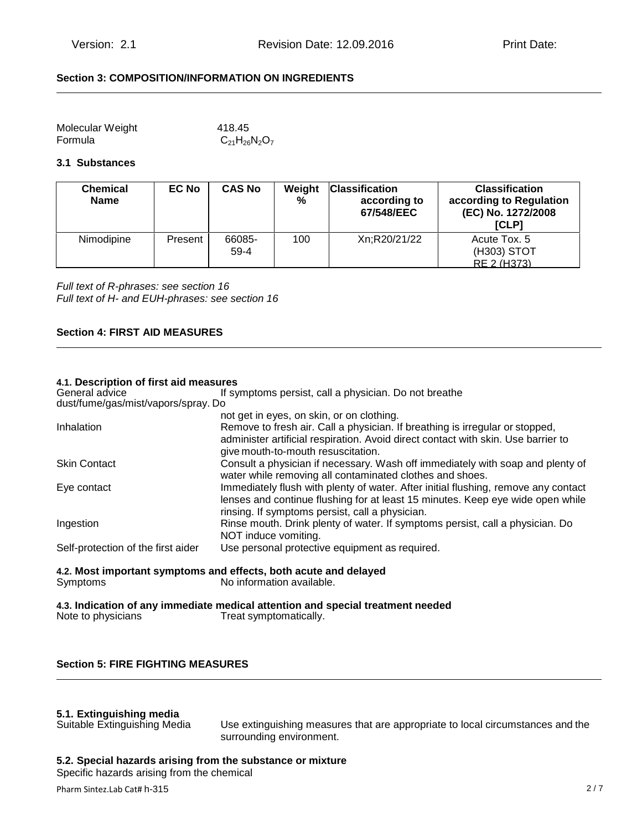# **Section 3: COMPOSITION/INFORMATION ON INGREDIENTS**

| Molecular Weight | 418.45               |
|------------------|----------------------|
| Formula          | $C_{21}H_{26}N_2O_7$ |

#### **3.1 Substances**

| <b>Chemical</b><br><b>Name</b> | <b>EC No</b> | <b>CAS No</b>    | Weight<br>% | <b>Classification</b><br>according to<br>67/548/EEC | <b>Classification</b><br>according to Regulation<br>(EC) No. 1272/2008<br>[CLP] |
|--------------------------------|--------------|------------------|-------------|-----------------------------------------------------|---------------------------------------------------------------------------------|
| Nimodipine                     | Present      | 66085-<br>$59-4$ | 100         | Xn:R20/21/22                                        | Acute Tox. 5<br>(H303) STOT<br>RE 2 (H373)                                      |

*Full text of R-phrases: see section 16 Full text of H- and EUH-phrases: see section 16*

# **Section 4: FIRST AID MEASURES**

# **4.1. Description of first aid measures**

| General advice                                                   | If symptoms persist, call a physician. Do not breathe                                                                                                                                                                   |  |
|------------------------------------------------------------------|-------------------------------------------------------------------------------------------------------------------------------------------------------------------------------------------------------------------------|--|
| dust/fume/gas/mist/vapors/spray. Do                              |                                                                                                                                                                                                                         |  |
|                                                                  | not get in eyes, on skin, or on clothing.                                                                                                                                                                               |  |
| Inhalation                                                       | Remove to fresh air. Call a physician. If breathing is irregular or stopped,<br>administer artificial respiration. Avoid direct contact with skin. Use barrier to<br>give mouth-to-mouth resuscitation.                 |  |
| <b>Skin Contact</b>                                              | Consult a physician if necessary. Wash off immediately with soap and plenty of<br>water while removing all contaminated clothes and shoes.                                                                              |  |
| Eye contact                                                      | Immediately flush with plenty of water. After initial flushing, remove any contact<br>lenses and continue flushing for at least 15 minutes. Keep eye wide open while<br>rinsing. If symptoms persist, call a physician. |  |
| Ingestion                                                        | Rinse mouth. Drink plenty of water. If symptoms persist, call a physician. Do<br>NOT induce vomiting.                                                                                                                   |  |
| Self-protection of the first aider                               | Use personal protective equipment as required.                                                                                                                                                                          |  |
| 4.2. Most important symptoms and effects, both acute and delayed |                                                                                                                                                                                                                         |  |

Symptoms No information available.

**4.3. Indication of any immediate medical attention and special treatment needed** Treat symptomatically.

# **Section 5: FIRE FIGHTING MEASURES**

# **5.1. Extinguishing media**

Use extinguishing measures that are appropriate to local circumstances and the surrounding environment.

#### **5.2. Special hazards arising from the substance or mixture**

Specific hazards arising from the chemical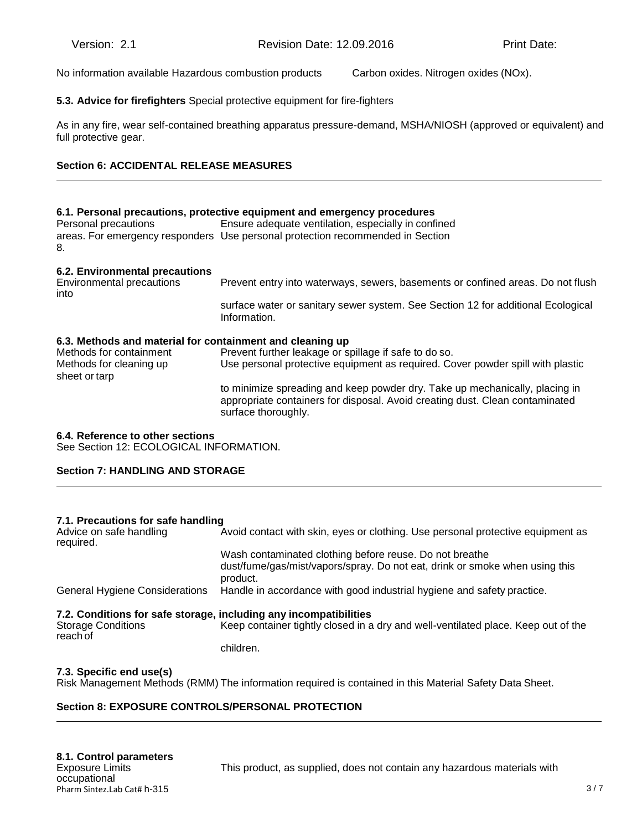No information available Hazardous combustion products Carbon oxides. Nitrogen oxides (NOx).

# **5.3. Advice for firefighters** Special protective equipment for fire-fighters

As in any fire, wear self-contained breathing apparatus pressure-demand, MSHA/NIOSH (approved or equivalent) and full protective gear.

# **Section 6: ACCIDENTAL RELEASE MEASURES**

# **6.1. Personal precautions, protective equipment and emergency procedures**  Personal precautions Ensure adequate ventilation, especially in confined areas. For emergency responders Use personal protection recommended in Section 8. **6.2. Environmental precautions** Prevent entry into waterways, sewers, basements or confined areas. Do not flush into surface water or sanitary sewer system. See Section 12 for additional Ecological Information. **6.3. Methods and material for containment and cleaning up** Prevent further leakage or spillage if safe to do so. Methods for cleaning up Use personal protective equipment as required. Cover powder spill with plastic

to minimize spreading and keep powder dry. Take up mechanically, placing in appropriate containers for disposal. Avoid creating dust. Clean contaminated surface thoroughly.

#### **6.4. Reference to other sections**

sheet or tarp

See Section 12: ECOLOGICAL INFORMATION.

# **Section 7: HANDLING AND STORAGE**

#### **7.1. Precautions for safe handling**

| Advice on safe handling<br>required.  | Avoid contact with skin, eyes or clothing. Use personal protective equipment as                                                                    |
|---------------------------------------|----------------------------------------------------------------------------------------------------------------------------------------------------|
|                                       | Wash contaminated clothing before reuse. Do not breathe<br>dust/fume/gas/mist/vapors/spray. Do not eat, drink or smoke when using this<br>product. |
| <b>General Hygiene Considerations</b> | Handle in accordance with good industrial hygiene and safety practice.                                                                             |
|                                       | 7.2. Conditions for safe storage, including any incompatibilities                                                                                  |
| <b>Storage Conditions</b><br>reach of | Keep container tightly closed in a dry and well-ventilated place. Keep out of the                                                                  |
|                                       | children.                                                                                                                                          |

#### **7.3. Specific end use(s)**

Risk Management Methods (RMM) The information required is contained in this Material Safety Data Sheet.

# **Section 8: EXPOSURE CONTROLS/PERSONAL PROTECTION**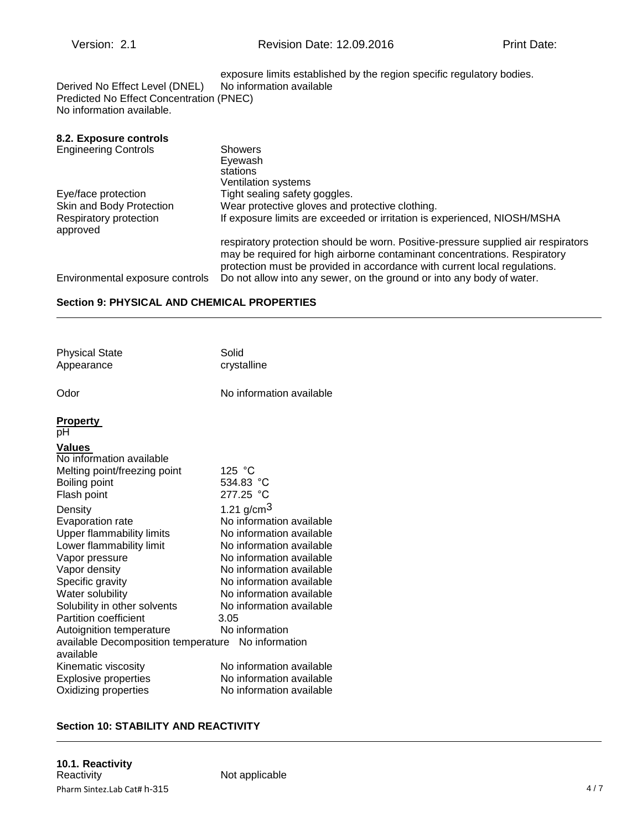| Derived No Effect Level (DNEL)<br>Predicted No Effect Concentration (PNEC)<br>No information available. | exposure limits established by the region specific regulatory bodies.<br>No information available                                                                                                                                           |
|---------------------------------------------------------------------------------------------------------|---------------------------------------------------------------------------------------------------------------------------------------------------------------------------------------------------------------------------------------------|
|                                                                                                         |                                                                                                                                                                                                                                             |
| 8.2. Exposure controls                                                                                  |                                                                                                                                                                                                                                             |
| <b>Engineering Controls</b>                                                                             | <b>Showers</b><br>Eyewash<br>stations<br>Ventilation systems                                                                                                                                                                                |
| Eye/face protection                                                                                     | Tight sealing safety goggles.                                                                                                                                                                                                               |
| Skin and Body Protection                                                                                | Wear protective gloves and protective clothing.                                                                                                                                                                                             |
| Respiratory protection<br>approved                                                                      | If exposure limits are exceeded or irritation is experienced, NIOSH/MSHA                                                                                                                                                                    |
|                                                                                                         | respiratory protection should be worn. Positive-pressure supplied air respirators<br>may be required for high airborne contaminant concentrations. Respiratory<br>protection must be provided in accordance with current local regulations. |
| Environmental exposure controls                                                                         | Do not allow into any sewer, on the ground or into any body of water.                                                                                                                                                                       |

# **Section 9: PHYSICAL AND CHEMICAL PROPERTIES**

| <b>Physical State</b><br>Appearance                                                                                                                                                                                                                                                                                                                                             | Solid<br>crystalline                                                                                                                                                                                                                                                                                                           |
|---------------------------------------------------------------------------------------------------------------------------------------------------------------------------------------------------------------------------------------------------------------------------------------------------------------------------------------------------------------------------------|--------------------------------------------------------------------------------------------------------------------------------------------------------------------------------------------------------------------------------------------------------------------------------------------------------------------------------|
| Odor                                                                                                                                                                                                                                                                                                                                                                            | No information available                                                                                                                                                                                                                                                                                                       |
| <b>Property</b><br>рH                                                                                                                                                                                                                                                                                                                                                           |                                                                                                                                                                                                                                                                                                                                |
| <b>Values</b><br>No information available<br>Melting point/freezing point<br>Boiling point<br>Flash point<br>Density<br>Evaporation rate<br><b>Upper flammability limits</b><br>Lower flammability limit<br>Vapor pressure<br>Vapor density<br>Specific gravity<br>Water solubility<br>Solubility in other solvents<br><b>Partition coefficient</b><br>Autoignition temperature | 125 $^{\circ}$ C<br>534.83 °C<br>277.25 °C<br>1.21 g/cm <sup>3</sup><br>No information available<br>No information available<br>No information available<br>No information available<br>No information available<br>No information available<br>No information available<br>No information available<br>3.05<br>No information |
| available Decomposition temperature No information<br>available                                                                                                                                                                                                                                                                                                                 |                                                                                                                                                                                                                                                                                                                                |
| Kinematic viscosity<br><b>Explosive properties</b><br>Oxidizing properties                                                                                                                                                                                                                                                                                                      | No information available<br>No information available<br>No information available                                                                                                                                                                                                                                               |

# **Section 10: STABILITY AND REACTIVITY**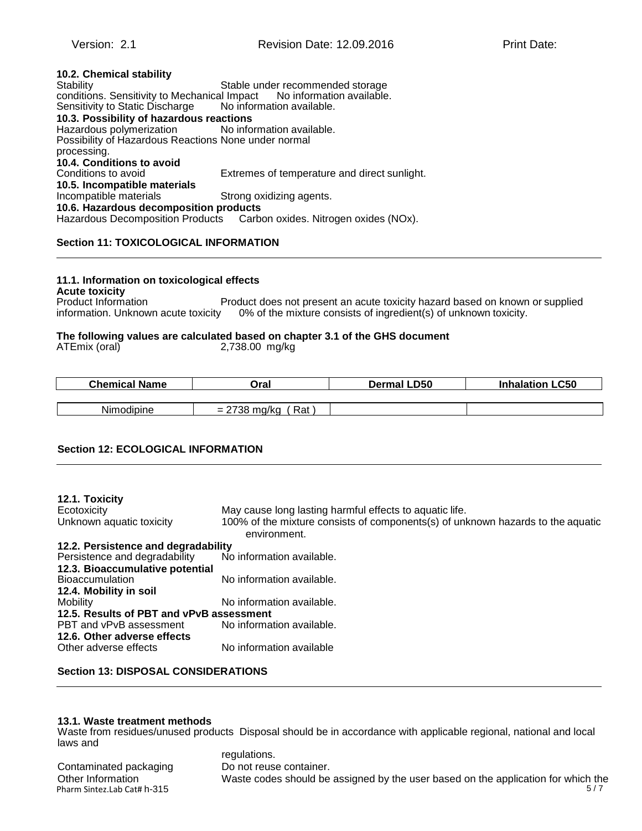| 10.2. Chemical stability                                  |                                                                        |
|-----------------------------------------------------------|------------------------------------------------------------------------|
| Stability                                                 | Stable under recommended storage                                       |
| Sensitivity to Static Discharge No information available. | conditions. Sensitivity to Mechanical Impact No information available. |
| 10.3. Possibility of hazardous reactions                  |                                                                        |
| Hazardous polymerization No information available.        |                                                                        |
| Possibility of Hazardous Reactions None under normal      |                                                                        |
| processing.                                               |                                                                        |
| 10.4. Conditions to avoid                                 |                                                                        |
| Conditions to avoid                                       | Extremes of temperature and direct sunlight.                           |
| 10.5. Incompatible materials                              |                                                                        |
| Incompatible materials                                    | Strong oxidizing agents.                                               |
| 10.6. Hazardous decomposition products                    |                                                                        |
|                                                           | Hazardous Decomposition Products Carbon oxides. Nitrogen oxides (NOx). |

# **Section 11: TOXICOLOGICAL INFORMATION**

#### **11.1. Information on toxicological effects**

**Acute toxicity** Product does not present an acute toxicity hazard based on known or supplied information. Unknown acute toxicity 0% of the mixture consists of ingredient(s) of unknown toxicity.

#### **The following values are calculated based on chapter 3.1 of the GHS document** ATEmix (oral)  $2,738.00$  mg/kg mg/kg

| [Emix (oral) |  | 2,738.00 |
|--------------|--|----------|

| <b>Chemical Name</b> | Oral                  | Dermal LD50 | <b>Inhalation LC50</b> |
|----------------------|-----------------------|-------------|------------------------|
|                      |                       |             |                        |
| <b>Nimodipine</b>    | $= 2738$ mg/kg<br>Rat |             |                        |

# **Section 12: ECOLOGICAL INFORMATION**

| 12.1. Toxicity                           |                                                                                                 |
|------------------------------------------|-------------------------------------------------------------------------------------------------|
| Ecotoxicity                              | May cause long lasting harmful effects to aquatic life.                                         |
| Unknown aquatic toxicity                 | 100% of the mixture consists of components(s) of unknown hazards to the aquatic<br>environment. |
| 12.2. Persistence and degradability      |                                                                                                 |
| Persistence and degradability            | No information available.                                                                       |
| 12.3. Bioaccumulative potential          |                                                                                                 |
| <b>Bioaccumulation</b>                   | No information available.                                                                       |
| 12.4. Mobility in soil                   |                                                                                                 |
| Mobility                                 | No information available.                                                                       |
| 12.5. Results of PBT and vPvB assessment |                                                                                                 |
| PBT and vPvB assessment                  | No information available.                                                                       |
| 12.6. Other adverse effects              |                                                                                                 |
| Other adverse effects                    | No information available                                                                        |

#### **Section 13: DISPOSAL CONSIDERATIONS**

#### **13.1. Waste treatment methods**

Waste from residues/unused products Disposal should be in accordance with applicable regional, national and local laws and

Contaminated packaging Do not reuse container.

Pharm Sintez.Lab Cat# h-315 5/7 regulations. Waste codes should be assigned by the user based on the application for which the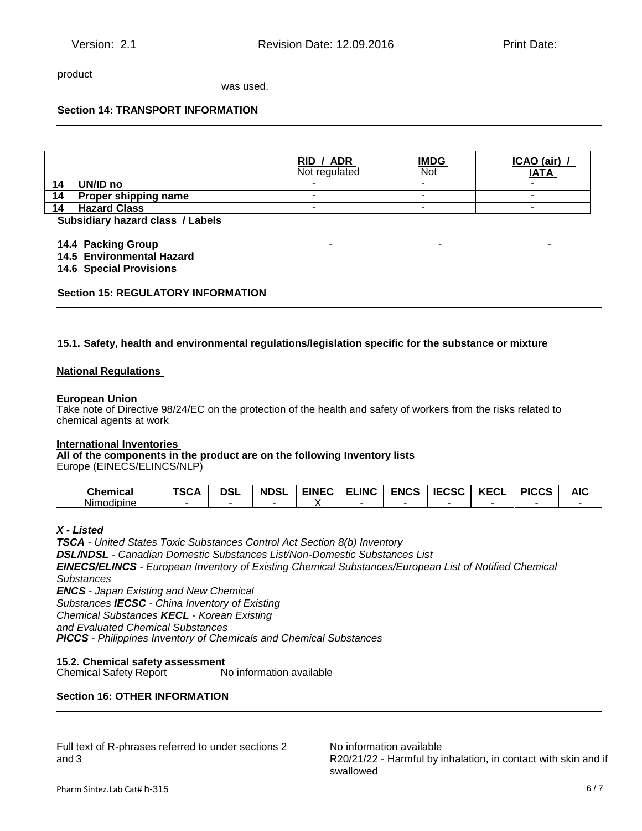product

was used.

# **Section 14: TRANSPORT INFORMATION**

|    |                      | RID / ADR<br>Not regulated | <u>IMDG</u><br>Not | ICAO (air)<br><b>IATA</b> |
|----|----------------------|----------------------------|--------------------|---------------------------|
| 14 | UN/ID no             |                            | -                  |                           |
| 14 | Proper shipping name |                            | -                  | $\overline{\phantom{a}}$  |
| 14 | <b>Hazard Class</b>  |                            | -                  |                           |

**.3 Subsidiary hazard class / Labels**

**14.4 Packing Group** 

**14.5 Environmental Hazard**

**14.6 Special Provisions**

**Section 15: REGULATORY INFORMATION**

#### **15.1. Safety, health and environmental regulations/legislation specific for the substance or mixture**

#### **National Regulations**

#### **European Union**

Take note of Directive 98/24/EC on the protection of the health and safety of workers from the risks related to chemical agents at work

#### **International Inventories**

**All of the components in the product are on the following Inventory lists**

Europe (EINECS/ELINCS/NLP)

| Chemica<br>- 75          | $T^{\alpha\alpha}$<br>SGA | ופר<br>DJL | <b>NDSI</b> | <b>FINFC</b> | .INC<br>r.<br>- | <b>ENCS</b> | rraa<br>$\sim$ $\sim$ $\sim$ $\sim$ | $I/T$ $N$<br>. .<br>‴\∟ | <b>DICCC</b><br>.<br>$\sim$ | A IC<br><u>ти.</u> |
|--------------------------|---------------------------|------------|-------------|--------------|-----------------|-------------|-------------------------------------|-------------------------|-----------------------------|--------------------|
| . .<br>Nimodic<br>albine |                           |            |             |              |                 |             |                                     |                         |                             |                    |

# *X - Listed*

*TSCA - United States Toxic Substances Control Act Section 8(b) Inventory DSL/NDSL - Canadian Domestic Substances List/Non-Domestic Substances List EINECS/ELINCS - European Inventory of Existing Chemical Substances/European List of Notified Chemical Substances ENCS - Japan Existing and New Chemical Substances IECSC - China Inventory of Existing Chemical Substances KECL - Korean Existing and Evaluated Chemical Substances PICCS - Philippines Inventory of Chemicals and Chemical Substances*

**15.2. Chemical safety assessment** Chemical Safety Report

# **Section 16: OTHER INFORMATION**

Full text of R-phrases referred to under sections 2 and 3

No information available R20/21/22 - Harmful by inhalation, in contact with skin and if swallowed